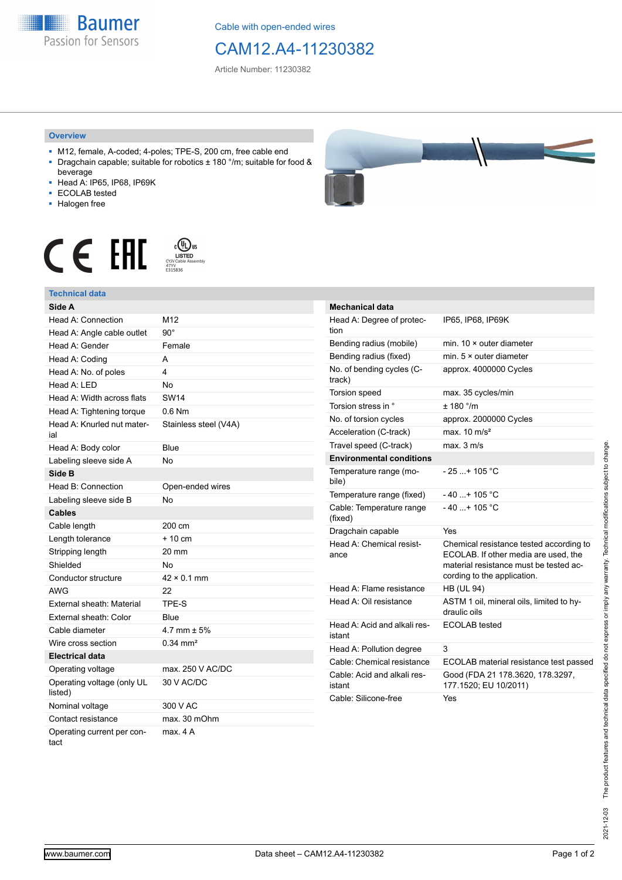**Baumer** Passion for Sensors

Cable with open-ended wires

## CAM12.A4-11230382

Article Number: 11230382

## **Overview**

- M12, female, A-coded; 4-poles; TPE-S, 200 cm, free cable end ■ Dragchain capable; suitable for robotics ± 180 °/m; suitable for food &
- beverage ■ Head A: IP65, IP68, IP69K
- ECOLAB tested
- 
- Halogen free

## $c$  (U<sub>L</sub>) us<br>
CYJV Cable Assem CE EHI





| <b>Mechanical data</b>                 |                                                                                                                                                          |
|----------------------------------------|----------------------------------------------------------------------------------------------------------------------------------------------------------|
| Head A: Degree of protec-<br>tion      | IP65, IP68, IP69K                                                                                                                                        |
| Bending radius (mobile)                | min. $10 \times$ outer diameter                                                                                                                          |
| Bending radius (fixed)                 | min. $5 \times$ outer diameter                                                                                                                           |
| No. of bending cycles (C-<br>track)    | approx. 4000000 Cycles                                                                                                                                   |
| Torsion speed                          | max. 35 cycles/min                                                                                                                                       |
| Torsion stress in °                    | ± 180 °/m                                                                                                                                                |
| No. of torsion cycles                  | approx. 2000000 Cycles                                                                                                                                   |
| Acceleration (C-track)                 | max. $10 \text{ m/s}^2$                                                                                                                                  |
| Travel speed (C-track)                 | $max$ 3 m/s                                                                                                                                              |
| <b>Environmental conditions</b>        |                                                                                                                                                          |
| Temperature range (mo-<br>bile)        | $-25+105 °C$                                                                                                                                             |
| Temperature range (fixed)              | $-40+105 °C$                                                                                                                                             |
| Cable: Temperature range<br>(fixed)    | $-40$ + 105 °C                                                                                                                                           |
| Dragchain capable                      | Yes                                                                                                                                                      |
| Head A: Chemical resist-<br>ance       | Chemical resistance tested according to<br>ECOLAB. If other media are used, the<br>material resistance must be tested ac-<br>cording to the application. |
| Head A: Flame resistance               | <b>HB (UL 94)</b>                                                                                                                                        |
| Head A: Oil resistance                 | ASTM 1 oil, mineral oils, limited to hy-<br>draulic oils                                                                                                 |
| Head A: Acid and alkali res-<br>istant | ECOLAB tested                                                                                                                                            |
| Head A: Pollution degree               | 3                                                                                                                                                        |
| Cable: Chemical resistance             | ECOLAB material resistance test passed                                                                                                                   |
| Cable: Acid and alkali res-<br>istant  | Good (FDA 21 178.3620, 178.3297,<br>177.1520; EU 10/2011)                                                                                                |
| Cable: Silicone-free                   | Yes                                                                                                                                                      |